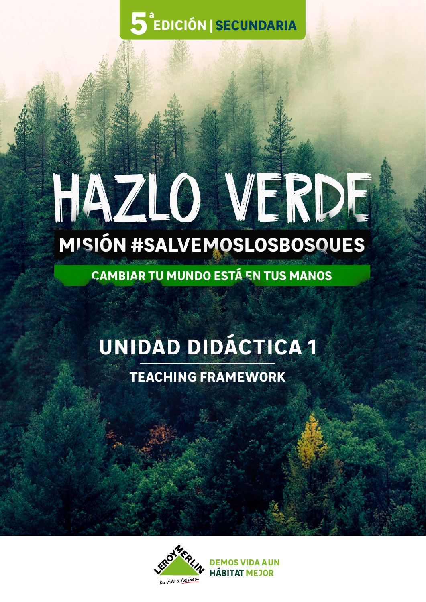**5** EDICIÓN | SECUNDARIA

# HAZLO VERDE **MISIÓN #SALVEMOSLOSBOSQUES**

**CAMBIAR TU MUNDO ESTÁ EN TUS MANOS** 

# **UNIDAD DIDÁCTICA 1**

**TEACHING FRAMEWORK**



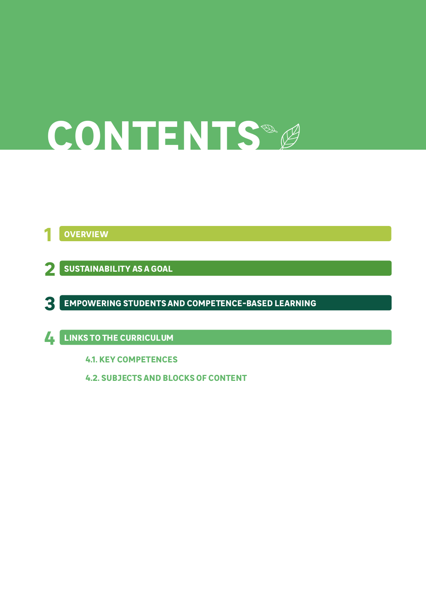# **CONTENTS**

**1 OVERVIEW**

**2 SUSTAINABILITY AS A GOAL**

**3 EMPOWERING STUDENTS AND COMPETENCE-BASED LEARNING**

**LINKS TO THE CURRICULUM 4**

**4.1. KEY COMPETENCES**

**4.2. SUBJECTS AND BLOCKS OF CONTENT**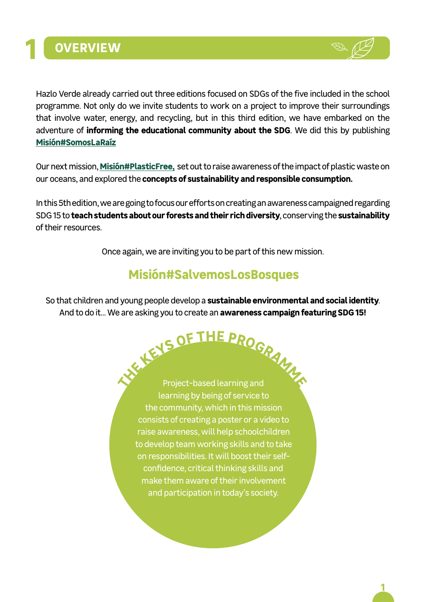



Hazlo Verde already carried out three editions focused on SDGs of the five included in the school programme. Not only do we invite students to work on a project to improve their surroundings that involve water, energy, and recycling, but in this third edition, we have embarked on the adventure of **informing the educational community about the SDG**. We did this by publishing **[Misión#SomosLaRaíz](https://edicion3.hazloverde.es/objetivos-desarrollo-sostenible/)**

Our next mission, **[Misión#PlasticFree](https://edicion4.hazloverde.es/plastic-free/),** set out to raise awareness of the impact of plastic waste on our oceans, and explored the **concepts of sustainability and responsible consumption.**

In this 5th edition, we are going to focus our efforts on creating an awareness campaigned regarding SDG 15 to **teach students about our forests and their rich diversity**, conserving the **sustainability** of their resources.

Once again, we are inviting you to be part of this new mission.

## **Misión#SalvemosLosBosques**

So that children and young people develop a **sustainable environmental and social identity**. And to do it... We are asking you to create an **awareness campaign featuring SDG 15!**

> Project-based learning and learning by being of service to the community, which in this mission consists of creating a poster or a video to raise awareness, will help schoolchildren to develop team working skills and to take on responsibilities. It will boost their selfconfidence, critical thinking skills and make them aware of their involvement and participation in today's society. **<sup>T</sup>H<sup>E</sup> <sup>K</sup>EY<sup>S</sup> <sup>O</sup><sup>F</sup> <sup>T</sup>H<sup>E</sup> <sup>P</sup>ROGRAMM<sup>E</sup>**

> > **1**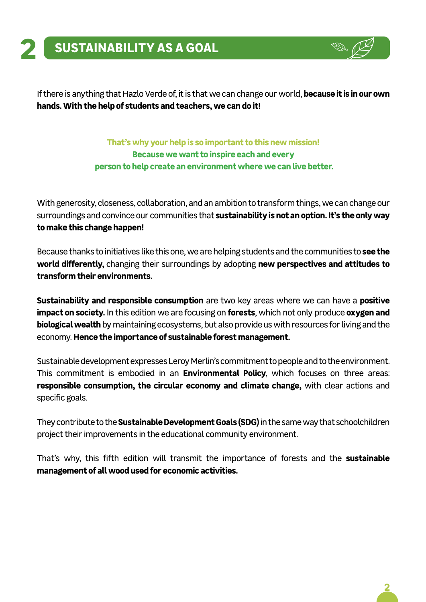

If there is anything that Hazlo Verde of, it is that we can change our world, **because it is in our own hands. With the help of students and teachers, we can do it!**

> **That's why your help is so important to this new mission! Because we want to inspire each and every person to help create an environment where we can live better.**

With generosity, closeness, collaboration, and an ambition to transform things, we can change our surroundings and convince our communities that **sustainability is not an option. It's the only way to make this change happen!**

Because thanks to initiatives like this one, we are helping students and the communities to **see the world differently,** changing their surroundings by adopting **new perspectives and attitudes to transform their environments.**

**Sustainability and responsible consumption** are two key areas where we can have a **positive impact on society.** In this edition we are focusing on **forests**, which not only produce **oxygen and biological wealth** by maintaining ecosystems, but also provide us with resources for living and the economy. **Hence the importance of sustainable forest management.**

Sustainable development expresses Leroy Merlin's commitment to people and to the environment. This commitment is embodied in an **Environmental Policy**, which focuses on three areas: **responsible consumption, the circular economy and climate change,** with clear actions and specific goals.

They contribute to the **Sustainable Development Goals (SDG)** in the same way that schoolchildren project their improvements in the educational community environment.

That's why, this fifth edition will transmit the importance of forests and the **sustainable management of all wood used for economic activities.**

**2**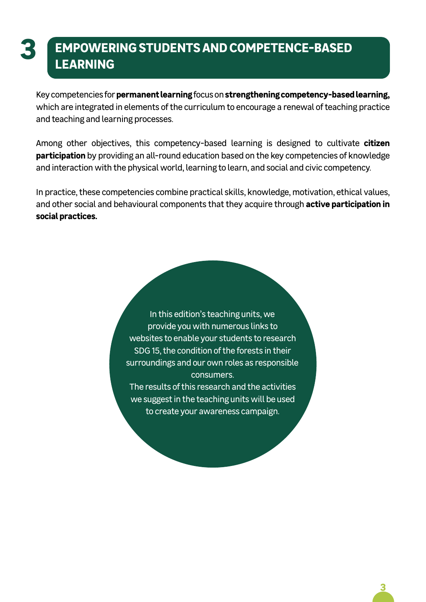# **3 EMPOWERING STUDENTS AND COMPETENCE-BASED LEARNING**

Key competencies for **permanent learning** focus on **strengthening competency-based learning,**  which are integrated in elements of the curriculum to encourage a renewal of teaching practice and teaching and learning processes.

Among other objectives, this competency-based learning is designed to cultivate **citizen participation** by providing an all-round education based on the key competencies of knowledge and interaction with the physical world, learning to learn, and social and civic competency.

In practice, these competencies combine practical skills, knowledge, motivation, ethical values, and other social and behavioural components that they acquire through **active participation in social practices.**

> In this edition's teaching units, we provide you with numerous links to websites to enable your students to research SDG 15, the condition of the forests in their surroundings and our own roles as responsible consumers.

The results of this research and the activities we suggest in the teaching units will be used to create your awareness campaign.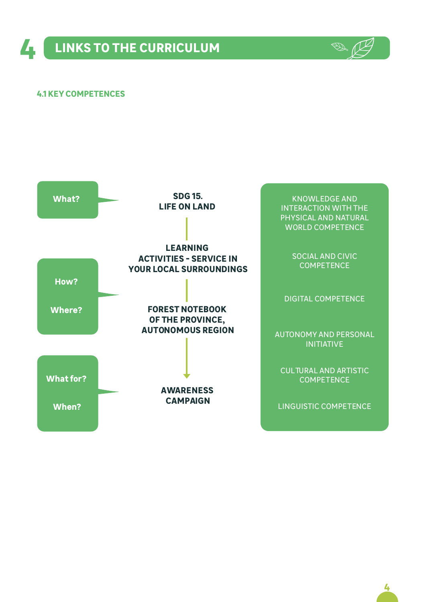

#### **4.1 KEY COMPETENCES**

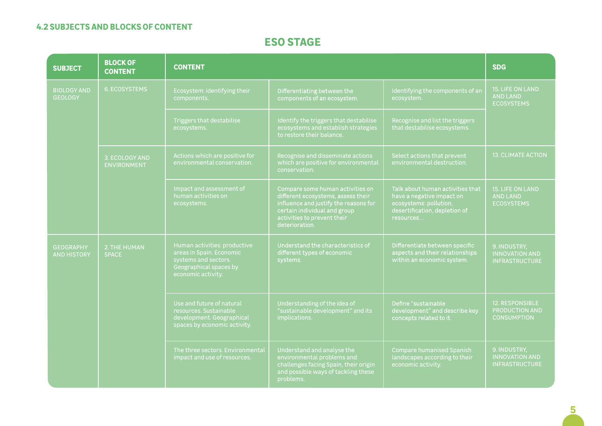#### **4.2 SUBJECTS AND BLOCKS OF CONTENT**

### **ESO STAGE**

| <b>SUBJECT</b>                         | <b>BLOCK OF</b><br><b>CONTENT</b> | <b>CONTENT</b>                                                                                                                   | <b>SDG</b>                                                                                                                                                                                       |                                                                                                                                       |                                                                 |
|----------------------------------------|-----------------------------------|----------------------------------------------------------------------------------------------------------------------------------|--------------------------------------------------------------------------------------------------------------------------------------------------------------------------------------------------|---------------------------------------------------------------------------------------------------------------------------------------|-----------------------------------------------------------------|
| <b>BIOLOGY AND</b><br><b>GEOLOGY</b>   | <b>6. ECOSYSTEMS</b>              | Ecosystem: identifying their<br>components.                                                                                      | Differentiating between the<br>components of an ecosystem.                                                                                                                                       | Identifying the components of an<br>ecosystem.                                                                                        | 15. LIFE ON LAND<br><b>AND LAND</b><br><b>ECOSYSTEMS</b>        |
|                                        |                                   | Triggers that destabilise<br>ecosystems.                                                                                         | Identify the triggers that destabilise<br>ecosystems and establish strategies<br>to restore their balance.                                                                                       | Recognise and list the triggers<br>that destabilise ecosystems.                                                                       |                                                                 |
|                                        | 3. ECOLOGY AND<br>ENVIRONMENT     | Actions which are positive for<br>environmental conservation.                                                                    | Recognise and disseminate actions<br>which are positive for environmental<br>conservation.                                                                                                       | Select actions that prevent<br>environmental destruction.                                                                             | <b>13. CLIMATE ACTION</b>                                       |
|                                        |                                   | Impact and assessment of<br>human activities on<br>ecosystems.                                                                   | Compare some human activities on<br>different ecosystems, assess their<br>influence and justify the reasons for<br>certain individual and group<br>activities to prevent their<br>deterioration. | Talk about human activities that<br>have a negative impact on<br>ecosystems: pollution,<br>desertification, depletion of<br>resources | <b>15. LIFE ON LAND</b><br><b>AND LAND</b><br><b>ECOSYSTEMS</b> |
| <b>GEOGRAPHY</b><br><b>AND HISTORY</b> | 2. THE HUMAN<br><b>SPACE</b>      | Human activities: productive<br>areas in Spain. Economic<br>systems and sectors.<br>Geographical spaces by<br>economic activity. | Understand the characteristics of<br>different types of economic<br>systems.                                                                                                                     | Differentiate between specific<br>aspects and their relationships<br>within an economic system.                                       | 9. INDUSTRY.<br><b>INNOVATION AND</b><br><b>INFRASTRUCTURE</b>  |
|                                        |                                   | Use and future of natural<br>resources. Sustainable<br>development. Geographical<br>spaces by economic activity.                 | Understanding of the idea of<br>"sustainable development" and its<br>implications.                                                                                                               | Define "sustainable<br>development" and describe key<br>concepts related to it.                                                       | <b>12. RESPONSIBLE</b><br>PRODUCTION AND<br><b>CONSUMPTION</b>  |
|                                        |                                   | The three sectors. Environmental<br>impact and use of resources.                                                                 | Understand and analyse the<br>environmental problems and<br>challenges facing Spain, their origin<br>and possible ways of tackling these<br>problems.                                            | <b>Compare humanised Spanish</b><br>landscapes according to their<br>economic activity.                                               | 9. INDUSTRY,<br><b>INNOVATION AND</b><br><b>INFRASTRUCTURE</b>  |